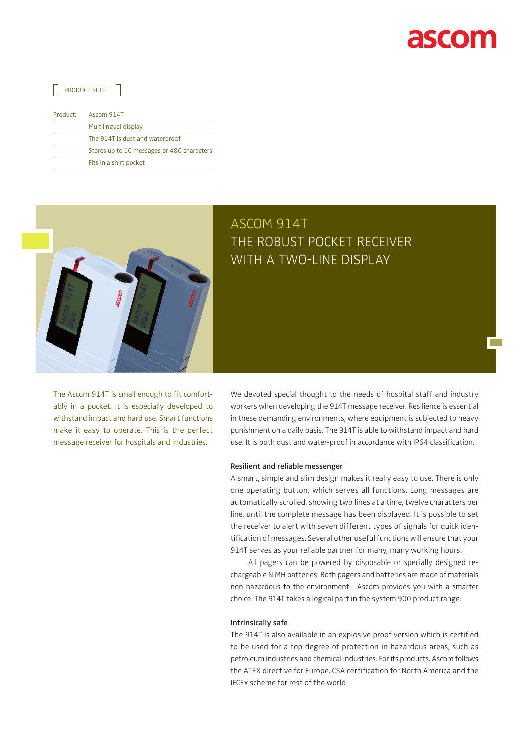

**Tara** 

### $\sqrt{ }$  PRODUCT SHEET  $\sqrt{ }$

|  | Product: | Ascom 914T                                 |
|--|----------|--------------------------------------------|
|  |          | Multilingual display                       |
|  |          | The 914T is dust and waterproof            |
|  |          | Stores up to 10 messages or 480 characters |
|  |          | Fits in a shirt pocket                     |



## ASCOM 914T The robust pocket receiver with a two-line display

The Ascom 914T is small enough to fit comfortably in a pocket. It is especially developed to withstand impact and hard use. Smart functions make it easy to operate. This is the perfect message receiver for hospitals and industries.

We devoted special thought to the needs of hospital staff and industry workers when developing the 914T message receiver. Resilience is essential in these demanding environments, where equipment is subjected to heavy punishment on a daily basis. The 914T is able to withstand impact and hard use. It is both dust and water-proof in accordance with IP64 classification.

#### **Resilient and reliable messenger**

A smart, simple and slim design makes it really easy to use. There is only one operating button, which serves all functions. Long messages are automatically scrolled, showing two lines at a time, twelve characters per line, until the complete message has been displayed. It is possible to set the receiver to alert with seven different types of signals for quick identification of messages. Several other useful functions will ensure that your 914T serves as your reliable partner for many, many working hours.

All pagers can be powered by disposable or specially designed rechargeable NiMH batteries. Both pagers and batteries are made of materials non-hazardous to the environment. Ascom provides you with a smarter choice. The 914T takes a logical part in the system 900 product range.

#### **Intrinsically safe**

The 914T is also available in an explosive proof version which is certified to be used for a top degree of protection in hazardous areas, such as petroleum industries and chemical industries. For its products, Ascom follows the ATEX directive for Europe, CSA certification for North America and the IECEx scheme for rest of the world.